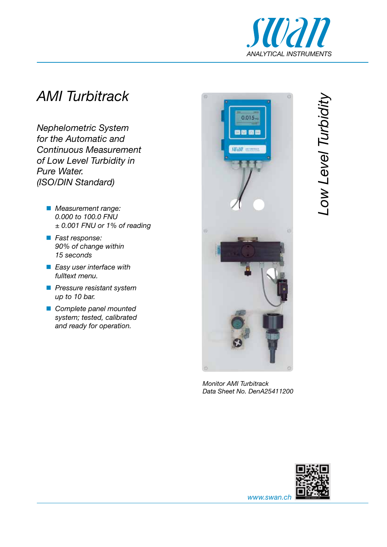

## *AMI Turbitrack*

*Nephelometric System for the Automatic and Continuous Measurement of Low Level Turbidity in Pure Water. (ISO/DIN Standard)*

- *Measurement range: 0.000 to 100.0 FNU ± 0.001 FNU or 1% of reading*
- *Fast response: 90% of change within 15 seconds*
- *Easy user interface with fulltext menu.*
- *Pressure resistant system up to 10 bar.*
- *Complete panel mounted system; tested, calibrated and ready for operation.*



*Monitor AMI Turbitrack Data Sheet No. DenA25411200*





*www.swan.ch*